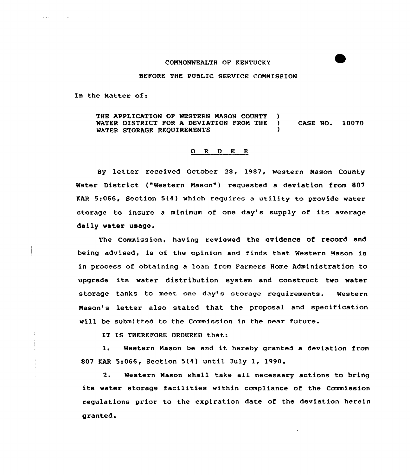## COMMONWEALTH OF KENTUCKY

## BEFORE THE PUBLIC SERVICE COMMISSION

In the Matter of:

THE APPLICATION OF WESTERN MASON COUNTY WATER DISTRICT FOR A DEVIATION FROM THE ) CASE NO. 10070 WATER STORAGE REQUIREMENTS

## ORDER

By letter received October 28, 1987, Western Nason County Water District ("Western Mason") requested a deviation from 807 KAR  $5:066$ , Section  $5(4)$  which requires a utility to provide water storage to insure <sup>a</sup> minimum of one day's supply of its average daily water usage.

The Commission, having reviewed the evidence of record and being advised, is of the opinion and finds that Western Mason is in process of obtaining a laan from Farmers Home Administration to upgrade its water distribution system and construct two water storage tanks to meet one day's storage requirements. Western Nason's letter also stated that the proposal and specification will be submitted to the Commission in the near future.

IT IS THEREFORE ORDERED that:

1. Western Mason be and it hereby granted <sup>a</sup> deviation fram 807 KAR 5:066, Section 5(4} until July 1, 1990.

2. western Mason shall take all necessary actions to bring its water storage facilities within compliance of the Commission regulatians prior to the expiration date of the deviation herein granted.